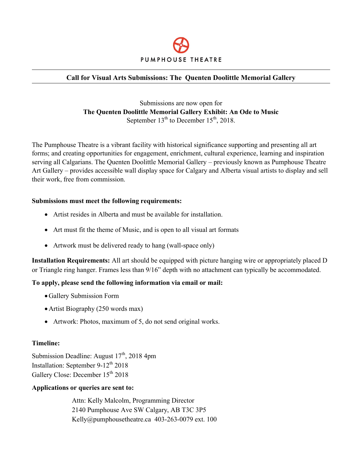

#### **Call for Visual Arts Submissions: The Quenten Doolittle Memorial Gallery**

Submissions are now open for **The Quenten Doolittle Memorial Gallery Exhibit: An Ode to Music**  September  $13<sup>th</sup>$  to December  $15<sup>th</sup>$ , 2018.

The Pumphouse Theatre is a vibrant facility with historical significance supporting and presenting all art forms; and creating opportunities for engagement, enrichment, cultural experience, learning and inspiration serving all Calgarians. The Quenten Doolittle Memorial Gallery – previously known as Pumphouse Theatre Art Gallery – provides accessible wall display space for Calgary and Alberta visual artists to display and sell their work, free from commission.

#### **Submissions must meet the following requirements:**

- Artist resides in Alberta and must be available for installation.
- Art must fit the theme of Music, and is open to all visual art formats
- Artwork must be delivered ready to hang (wall-space only)

**Installation Requirements:** All art should be equipped with picture hanging wire or appropriately placed D or Triangle ring hanger. Frames less than 9/16" depth with no attachment can typically be accommodated.

#### **To apply, please send the following information via email or mail:**

- Gallery Submission Form
- Artist Biography (250 words max)
- Artwork: Photos, maximum of 5, do not send original works.

#### **Timeline:**

Submission Deadline: August  $17<sup>th</sup>$ , 2018 4pm Installation: September  $9-12^{th}$  2018 Gallery Close: December  $15^{th}$  2018

#### **Applications or queries are sent to:**

Attn: Kelly Malcolm, Programming Director 2140 Pumphouse Ave SW Calgary, AB T3C 3P5 Kelly@pumphousetheatre.ca 403-263-0079 ext. 100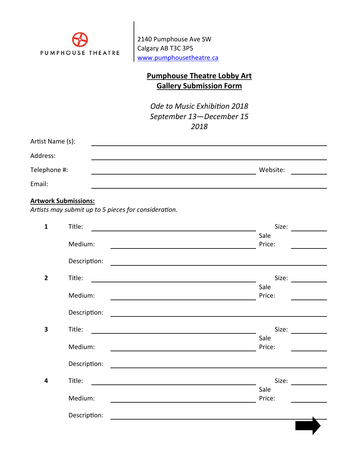

2140 Pumphouse Ave SW Calgary AB T3C 3P5 [www.pumphousetheatre.ca](http://www.pumphousetheatre.ca/)

## **Pumphouse Theatre Lobby Art Gallery Submission Form**

*Ode to Music Exhibition 2018 September 13—December 15 2018*

| Artist Name (s): |          |
|------------------|----------|
| Address:         |          |
| Telephone #:     | Website: |
| Email:           |          |

# **Artwork Submissions:**

*Artists may submit up to 5 pieces for consideration.*

| $\mathbf{1}$            | Title:       | Size:                                                                                                                          |
|-------------------------|--------------|--------------------------------------------------------------------------------------------------------------------------------|
|                         |              | Sale                                                                                                                           |
|                         | Medium:      | Price:                                                                                                                         |
|                         | Description: |                                                                                                                                |
| $\overline{2}$          | Title:       | Size:                                                                                                                          |
|                         |              | Sale                                                                                                                           |
|                         | Medium:      | Price:                                                                                                                         |
|                         | Description: |                                                                                                                                |
| $\overline{\mathbf{3}}$ | Title:       | Size:                                                                                                                          |
|                         |              | Sale                                                                                                                           |
|                         | Medium:      | Price:                                                                                                                         |
|                         | Description: |                                                                                                                                |
| 4                       | Title:       | Size:<br><u> 1989 - Johann Stoff, deutscher Stoffen und der Stoffen und der Stoffen und der Stoffen und der Stoffen und de</u> |
|                         |              | Sale                                                                                                                           |
|                         | Medium:      | Price:                                                                                                                         |
|                         | Description: |                                                                                                                                |
|                         |              |                                                                                                                                |